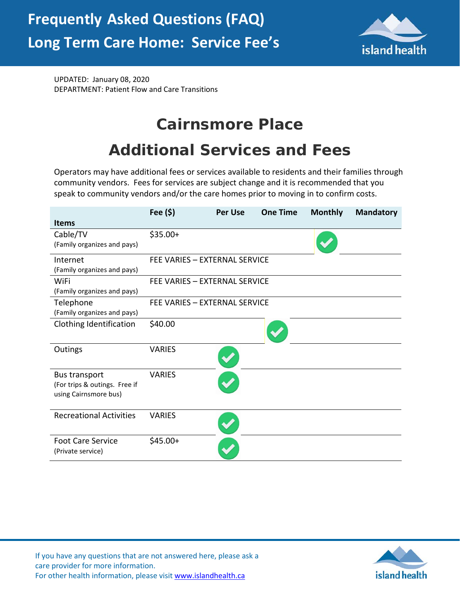

UPDATED: January 08, 2020 DEPARTMENT: Patient Flow and Care Transitions

## **Cairnsmore Place**

## **Additional Services and Fees**

Operators may have additional fees or services available to residents and their families through community vendors. Fees for services are subject change and it is recommended that you speak to community vendors and/or the care homes prior to moving in to confirm costs.

|                                | Fee $(\$)$                    | <b>Per Use</b> | <b>One Time</b> | <b>Monthly</b> | <b>Mandatory</b> |
|--------------------------------|-------------------------------|----------------|-----------------|----------------|------------------|
| <b>Items</b>                   |                               |                |                 |                |                  |
| Cable/TV                       | $$35.00+$                     |                |                 |                |                  |
| (Family organizes and pays)    |                               |                |                 |                |                  |
| Internet                       | FEE VARIES - EXTERNAL SERVICE |                |                 |                |                  |
| (Family organizes and pays)    |                               |                |                 |                |                  |
| WiFi                           | FEE VARIES - EXTERNAL SERVICE |                |                 |                |                  |
| (Family organizes and pays)    |                               |                |                 |                |                  |
| Telephone                      | FEE VARIES - EXTERNAL SERVICE |                |                 |                |                  |
| (Family organizes and pays)    |                               |                |                 |                |                  |
| Clothing Identification        | \$40.00                       |                |                 |                |                  |
| Outings                        | <b>VARIES</b>                 |                |                 |                |                  |
| <b>Bus transport</b>           | <b>VARIES</b>                 |                |                 |                |                  |
| (For trips & outings. Free if  |                               |                |                 |                |                  |
| using Cairnsmore bus)          |                               |                |                 |                |                  |
| <b>Recreational Activities</b> | <b>VARIES</b>                 |                |                 |                |                  |
|                                |                               |                |                 |                |                  |
| <b>Foot Care Service</b>       | $$45.00+$                     |                |                 |                |                  |
| (Private service)              |                               |                |                 |                |                  |



If you have any questions that are not answered here, please ask a care provider for more information. For other health information, please visit [www.islandhealth.ca](http://www.islandhealth.ca/)